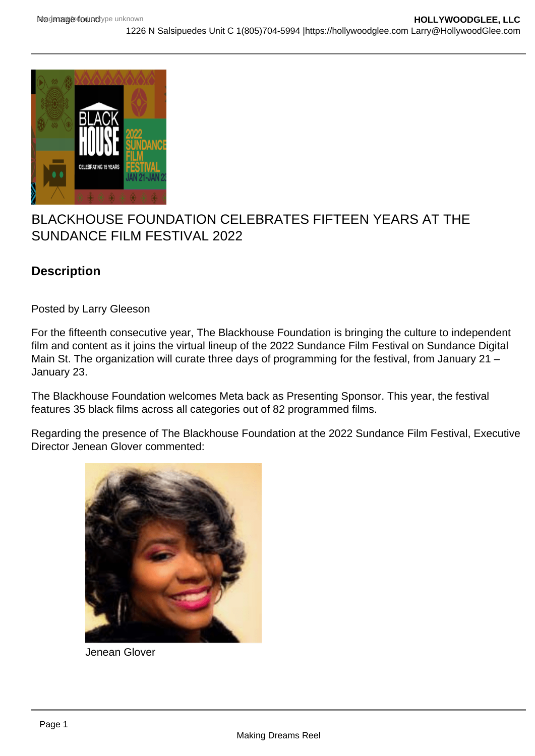## BLACKHOUSE FOUNDATION CELEBRATES FIFTEEN YEARS AT THE SUNDANCE FILM FESTIVAL 2022

**Description** 

Posted by Larry Gleeson

For the fifteenth consecutive year, The Blackhouse Foundation is bringing the culture to independent film and content as it joins the virtual lineup of the 2022 Sundance Film Festival on Sundance Digital Main St. The organization will curate three days of programming for the festival, from January 21 – January 23.

The Blackhouse Foundation welcomes Meta back as Presenting Sponsor. This year, the festival features 35 black films across all categories out of 82 programmed films.

Regarding the presence of The Blackhouse Foundation at the 2022 Sundance Film Festival, Executive Director Jenean Glover commented:

Jenean Glover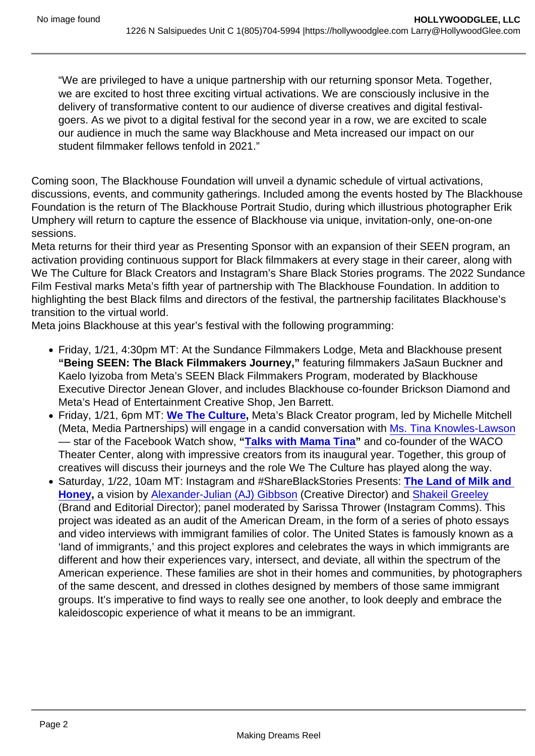"We are privileged to have a unique partnership with our returning sponsor Meta. Together, we are excited to host three exciting virtual activations. We are consciously inclusive in the delivery of transformative content to our audience of diverse creatives and digital festivalgoers. As we pivot to a digital festival for the second year in a row, we are excited to scale our audience in much the same way Blackhouse and Meta increased our impact on our student filmmaker fellows tenfold in 2021."

Coming soon, The Blackhouse Foundation will unveil a dynamic schedule of virtual activations, discussions, events, and community gatherings. Included among the events hosted by The Blackhouse Foundation is the return of The Blackhouse Portrait Studio, during which illustrious photographer Erik Umphery will return to capture the essence of Blackhouse via unique, invitation-only, one-on-one sessions.

Meta returns for their third year as Presenting Sponsor with an expansion of their SEEN program, an activation providing continuous support for Black filmmakers at every stage in their career, along with We The Culture for Black Creators and Instagram's Share Black Stories programs. The 2022 Sundance Film Festival marks Meta's fifth year of partnership with The Blackhouse Foundation. In addition to highlighting the best Black films and directors of the festival, the partnership facilitates Blackhouse's transition to the virtual world.

Meta joins Blackhouse at this year's festival with the following programming:

- Friday, 1/21, 4:30pm MT: At the Sundance Filmmakers Lodge, Meta and Blackhouse present "Being SEEN: The Black Filmmakers Journey," featuring filmmakers JaSaun Buckner and Kaelo Iyizoba from Meta's SEEN Black Filmmakers Program, moderated by Blackhouse Executive Director Jenean Glover, and includes Blackhouse co-founder Brickson Diamond and Meta's Head of Entertainment Creative Shop, Jen Barrett.
- Friday, 1/21, 6pm MT: [We The Culture](https://r20.rs6.net/tn.jsp?f=001ZhCynzLgAHBI9_PnAq7TMxvGiGVQVJR8ytrXlph0qq_W0lu7wryok9avtTVaHZSQeZ6vhHJoP863Z79nw5DYDwa0T0ujBHMXY4yh3tsyB4FLoDvMozWYShJSxPmvYt51k2_oqmvzc-Ze3JZtMiuDr_ddxljhrdN5&c=H6K23ZHylCgEV8I4Av0Fd9l4HBSHTEh4A8aO0fxRn1TjT_V3k95a_Q==&ch=oIyuZxOSGMx91--KQx_8up6Y-HESEko7CKa8sRWNlDvWURPbn2M2Uw==) , Meta's Black Creator program, led by Michelle Mitchell (Meta, Media Partnerships) will engage in a candid conversation with [Ms. Tina Knowles-Lawson](https://r20.rs6.net/tn.jsp?f=001ZhCynzLgAHBI9_PnAq7TMxvGiGVQVJR8ytrXlph0qq_W0lu7wryok9avtTVaHZSQm5hT0X1zWAeT0urkoz4bFGBVnkrkLGlD5bE9HgWUkuKYhXYGFOGBhg5OVAytgqkLZWiA1EwCRGXY3nS6ZnbviyjUimMQl4LyVuDLjSiSvfo=&c=H6K23ZHylCgEV8I4Av0Fd9l4HBSHTEh4A8aO0fxRn1TjT_V3k95a_Q==&ch=oIyuZxOSGMx91--KQx_8up6Y-HESEko7CKa8sRWNlDvWURPbn2M2Uw==) –– star of the Facebook Watch show, " [Talks with Mama Tina](https://r20.rs6.net/tn.jsp?f=001ZhCynzLgAHBI9_PnAq7TMxvGiGVQVJR8ytrXlph0qq_W0lu7wryok9avtTVaHZSQbPH--PTFTgH7K8ZS8B7p2N_PA8UW01g-B1jtvv8GkXgPOeudIjaTai2nzTEuzxWatirtl9RNTXm1b1G6iH172g==&c=H6K23ZHylCgEV8I4Av0Fd9l4HBSHTEh4A8aO0fxRn1TjT_V3k95a_Q==&ch=oIyuZxOSGMx91--KQx_8up6Y-HESEko7CKa8sRWNlDvWURPbn2M2Uw==) " and co-founder of the WACO Theater Center, along with impressive creators from its inaugural year. Together, this group of creatives will discuss their journeys and the role We The Culture has played along the way.
- Saturday, 1/22, 10am MT: Instagram and #ShareBlackStories Presents: The Land of Milk and Honey , a vision by [Alexander-Julian \(AJ\) Gibbson](https://r20.rs6.net/tn.jsp?f=001ZhCynzLgAHBI9_PnAq7TMxvGiGVQVJR8ytrXlph0qq_W0lu7wryok9avtTVaHZSQQw2tgwCrAL84vzUs-DnNhqoNROEGqWg3CxREi4M71mfb1RPs2OnQ2WtBxDD5Ggu4Wg1eIrSUL25Jqt_yZHBSEYUzfO2dGG0k7djL8yZXyFM=&c=H6K23ZHylCgEV8I4Av0Fd9l4HBSHTEh4A8aO0fxRn1TjT_V3k95a_Q==&ch=oIyuZxOSGMx91--KQx_8up6Y-HESEko7CKa8sRWNlDvWURPbn2M2Uw==) (Creative Director) and [Shakeil Greeley](https://r20.rs6.net/tn.jsp?f=001ZhCynzLgAHBI9_PnAq7TMxvGiGVQVJR8ytrXlph0qq_W0lu7wryok9avtTVaHZSQImOiD1YbgNOG28-Y7UyIrH9IwbtqwmWD-Uainms9yKIysMx8UFG4cn3oOZObosl_4QBNaaHH1sHVZIBjptpLB4P_-E8MktHd&c=H6K23ZHylCgEV8I4Av0Fd9l4HBSHTEh4A8aO0fxRn1TjT_V3k95a_Q==&ch=oIyuZxOSGMx91--KQx_8up6Y-HESEko7CKa8sRWNlDvWURPbn2M2Uw==) (Brand and Editorial Director); panel moderated by Sarissa Thrower (Instagram Comms). This project was ideated as an audit of the American Dream, in the form of a series of photo essays and video interviews with immigrant families of color. The United States is famously known as a 'land of immigrants,' and this project explores and celebrates the ways in which immigrants are different and how their experiences vary, intersect, and deviate, all within the spectrum of the American experience. These families are shot in their homes and communities, by photographers of the same descent, and dressed in clothes designed by members of those same immigrant groups. It's imperative to find ways to really see one another, to look deeply and embrace the kaleidoscopic experience of what it means to be an immigrant.